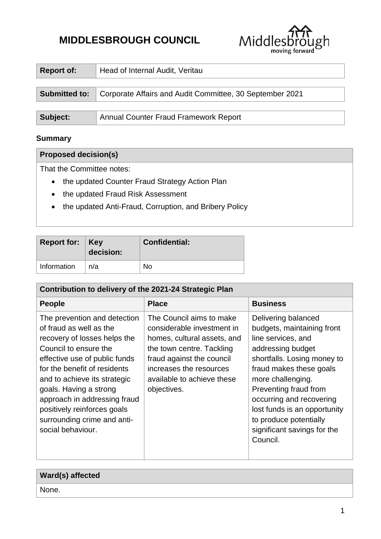# **MIDDLESBROUGH COUNCIL**



| <b>Report of:</b>    | Head of Internal Audit, Veritau                          |
|----------------------|----------------------------------------------------------|
| <b>Submitted to:</b> | Corporate Affairs and Audit Committee, 30 September 2021 |
|                      |                                                          |
| Subject:             | <b>Annual Counter Fraud Framework Report</b>             |

#### **Summary**

## **Proposed decision(s)**

That the Committee notes:

- the updated Counter Fraud Strategy Action Plan
- the updated Fraud Risk Assessment
- the updated Anti-Fraud, Corruption, and Bribery Policy

| <b>Report for: Key</b> | decision: | <b>Confidential:</b> |
|------------------------|-----------|----------------------|
| Information            | n/a       | N٥                   |

| Contribution to delivery of the 2021-24 Strategic Plan                                                                                                                                                                                                                                                                                                         |                                                                                                                                                                                                                         |                                                                                                                                                                                                                                                                                                                                       |  |  |  |
|----------------------------------------------------------------------------------------------------------------------------------------------------------------------------------------------------------------------------------------------------------------------------------------------------------------------------------------------------------------|-------------------------------------------------------------------------------------------------------------------------------------------------------------------------------------------------------------------------|---------------------------------------------------------------------------------------------------------------------------------------------------------------------------------------------------------------------------------------------------------------------------------------------------------------------------------------|--|--|--|
| <b>People</b>                                                                                                                                                                                                                                                                                                                                                  | <b>Place</b>                                                                                                                                                                                                            | <b>Business</b>                                                                                                                                                                                                                                                                                                                       |  |  |  |
| The prevention and detection<br>of fraud as well as the<br>recovery of losses helps the<br>Council to ensure the<br>effective use of public funds<br>for the benefit of residents<br>and to achieve its strategic<br>goals. Having a strong<br>approach in addressing fraud<br>positively reinforces goals<br>surrounding crime and anti-<br>social behaviour. | The Council aims to make<br>considerable investment in<br>homes, cultural assets, and<br>the town centre. Tackling<br>fraud against the council<br>increases the resources<br>available to achieve these<br>objectives. | Delivering balanced<br>budgets, maintaining front<br>line services, and<br>addressing budget<br>shortfalls. Losing money to<br>fraud makes these goals<br>more challenging.<br>Preventing fraud from<br>occurring and recovering<br>lost funds is an opportunity<br>to produce potentially<br>significant savings for the<br>Council. |  |  |  |

| Ward(s) affected |  |
|------------------|--|
| None.            |  |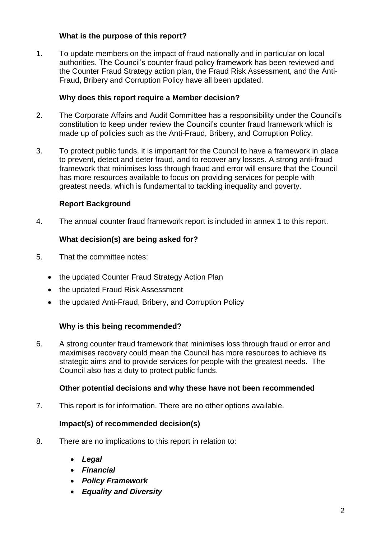## **What is the purpose of this report?**

1. To update members on the impact of fraud nationally and in particular on local authorities. The Council's counter fraud policy framework has been reviewed and the Counter Fraud Strategy action plan, the Fraud Risk Assessment, and the Anti-Fraud, Bribery and Corruption Policy have all been updated.

#### **Why does this report require a Member decision?**

- 2. The Corporate Affairs and Audit Committee has a responsibility under the Council's constitution to keep under review the Council's counter fraud framework which is made up of policies such as the Anti-Fraud, Bribery, and Corruption Policy.
- 3. To protect public funds, it is important for the Council to have a framework in place to prevent, detect and deter fraud, and to recover any losses. A strong anti-fraud framework that minimises loss through fraud and error will ensure that the Council has more resources available to focus on providing services for people with greatest needs, which is fundamental to tackling inequality and poverty.

#### **Report Background**

4. The annual counter fraud framework report is included in annex 1 to this report.

#### **What decision(s) are being asked for?**

- 5. That the committee notes:
	- the updated Counter Fraud Strategy Action Plan
	- the updated Fraud Risk Assessment
	- the updated Anti-Fraud, Bribery, and Corruption Policy

#### **Why is this being recommended?**

6. A strong counter fraud framework that minimises loss through fraud or error and maximises recovery could mean the Council has more resources to achieve its strategic aims and to provide services for people with the greatest needs. The Council also has a duty to protect public funds.

#### **Other potential decisions and why these have not been recommended**

7. This report is for information. There are no other options available.

#### **Impact(s) of recommended decision(s)**

- 8. There are no implications to this report in relation to:
	- *Legal*
	- *Financial*
	- *Policy Framework*
	- *Equality and Diversity*